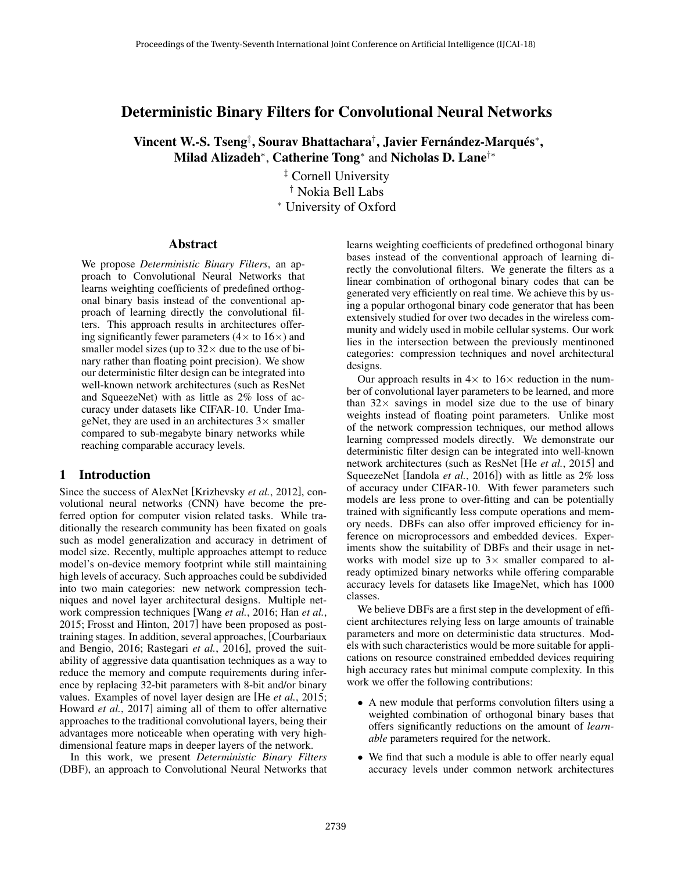# Deterministic Binary Filters for Convolutional Neural Networks

Vincent W.-S. Tseng‡, Sourav Bhattachara†, Javier Fernández-Marqués\*, Milad Alizadeh<sup>∗</sup> , Catherine Tong<sup>∗</sup> and Nicholas D. Lane†∗

> ‡ Cornell University † Nokia Bell Labs <sup>∗</sup> University of Oxford

#### Abstract

We propose *Deterministic Binary Filters*, an approach to Convolutional Neural Networks that learns weighting coefficients of predefined orthogonal binary basis instead of the conventional approach of learning directly the convolutional filters. This approach results in architectures offering significantly fewer parameters  $(4 \times$  to  $16 \times)$  and smaller model sizes (up to  $32 \times$  due to the use of binary rather than floating point precision). We show our deterministic filter design can be integrated into well-known network architectures (such as ResNet and SqueezeNet) with as little as 2% loss of accuracy under datasets like CIFAR-10. Under ImageNet, they are used in an architectures  $3\times$  smaller compared to sub-megabyte binary networks while reaching comparable accuracy levels.

### 1 Introduction

Since the success of AlexNet [Krizhevsky *et al.*, 2012], convolutional neural networks (CNN) have become the preferred option for computer vision related tasks. While traditionally the research community has been fixated on goals such as model generalization and accuracy in detriment of model size. Recently, multiple approaches attempt to reduce model's on-device memory footprint while still maintaining high levels of accuracy. Such approaches could be subdivided into two main categories: new network compression techniques and novel layer architectural designs. Multiple network compression techniques [Wang *et al.*, 2016; Han *et al.*, 2015; Frosst and Hinton, 2017] have been proposed as posttraining stages. In addition, several approaches, [Courbariaux and Bengio, 2016; Rastegari *et al.*, 2016], proved the suitability of aggressive data quantisation techniques as a way to reduce the memory and compute requirements during inference by replacing 32-bit parameters with 8-bit and/or binary values. Examples of novel layer design are [He *et al.*, 2015; Howard *et al.*, 2017] aiming all of them to offer alternative approaches to the traditional convolutional layers, being their advantages more noticeable when operating with very highdimensional feature maps in deeper layers of the network.

In this work, we present *Deterministic Binary Filters* (DBF), an approach to Convolutional Neural Networks that learns weighting coefficients of predefined orthogonal binary bases instead of the conventional approach of learning directly the convolutional filters. We generate the filters as a linear combination of orthogonal binary codes that can be generated very efficiently on real time. We achieve this by using a popular orthogonal binary code generator that has been extensively studied for over two decades in the wireless community and widely used in mobile cellular systems. Our work lies in the intersection between the previously mentinoned categories: compression techniques and novel architectural designs.

Our approach results in  $4 \times$  to  $16 \times$  reduction in the number of convolutional layer parameters to be learned, and more than  $32 \times$  savings in model size due to the use of binary weights instead of floating point parameters. Unlike most of the network compression techniques, our method allows learning compressed models directly. We demonstrate our deterministic filter design can be integrated into well-known network architectures (such as ResNet [He *et al.*, 2015] and SqueezeNet [Iandola *et al.*, 2016]) with as little as 2% loss of accuracy under CIFAR-10. With fewer parameters such models are less prone to over-fitting and can be potentially trained with significantly less compute operations and memory needs. DBFs can also offer improved efficiency for inference on microprocessors and embedded devices. Experiments show the suitability of DBFs and their usage in networks with model size up to  $3\times$  smaller compared to already optimized binary networks while offering comparable accuracy levels for datasets like ImageNet, which has 1000 classes.

We believe DBFs are a first step in the development of efficient architectures relying less on large amounts of trainable parameters and more on deterministic data structures. Models with such characteristics would be more suitable for applications on resource constrained embedded devices requiring high accuracy rates but minimal compute complexity. In this work we offer the following contributions:

- A new module that performs convolution filters using a weighted combination of orthogonal binary bases that offers significantly reductions on the amount of *learnable* parameters required for the network.
- We find that such a module is able to offer nearly equal accuracy levels under common network architectures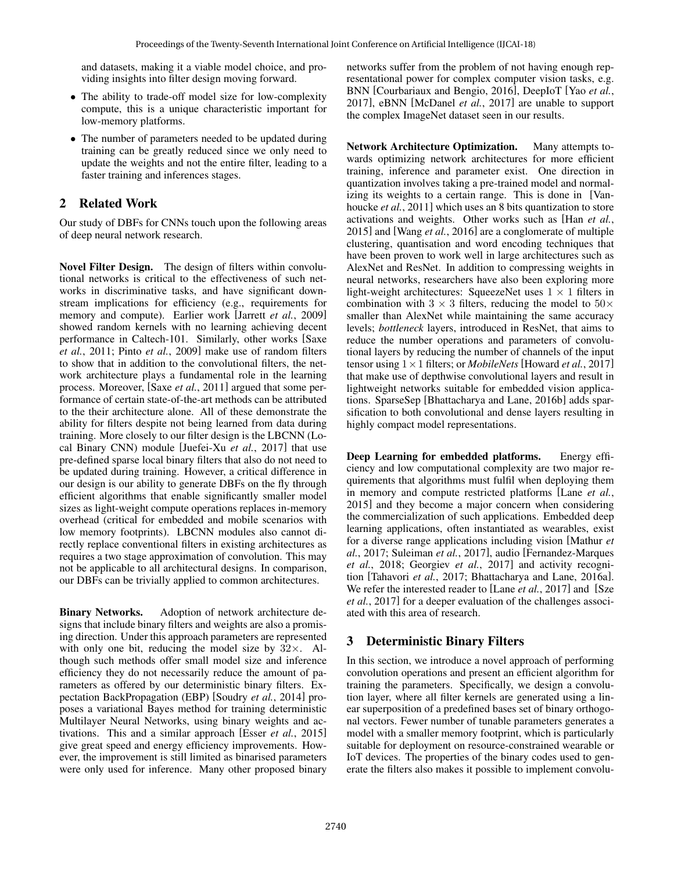and datasets, making it a viable model choice, and providing insights into filter design moving forward.

- The ability to trade-off model size for low-complexity compute, this is a unique characteristic important for low-memory platforms.
- The number of parameters needed to be updated during training can be greatly reduced since we only need to update the weights and not the entire filter, leading to a faster training and inferences stages.

# 2 Related Work

Our study of DBFs for CNNs touch upon the following areas of deep neural network research.

Novel Filter Design. The design of filters within convolutional networks is critical to the effectiveness of such networks in discriminative tasks, and have significant downstream implications for efficiency (e.g., requirements for memory and compute). Earlier work [Jarrett *et al.*, 2009] showed random kernels with no learning achieving decent performance in Caltech-101. Similarly, other works [Saxe *et al.*, 2011; Pinto *et al.*, 2009] make use of random filters to show that in addition to the convolutional filters, the network architecture plays a fundamental role in the learning process. Moreover, [Saxe *et al.*, 2011] argued that some performance of certain state-of-the-art methods can be attributed to the their architecture alone. All of these demonstrate the ability for filters despite not being learned from data during training. More closely to our filter design is the LBCNN (Local Binary CNN) module [Juefei-Xu *et al.*, 2017] that use pre-defined sparse local binary filters that also do not need to be updated during training. However, a critical difference in our design is our ability to generate DBFs on the fly through efficient algorithms that enable significantly smaller model sizes as light-weight compute operations replaces in-memory overhead (critical for embedded and mobile scenarios with low memory footprints). LBCNN modules also cannot directly replace conventional filters in existing architectures as requires a two stage approximation of convolution. This may not be applicable to all architectural designs. In comparison, our DBFs can be trivially applied to common architectures.

Binary Networks. Adoption of network architecture designs that include binary filters and weights are also a promising direction. Under this approach parameters are represented with only one bit, reducing the model size by  $32\times$ . Although such methods offer small model size and inference efficiency they do not necessarily reduce the amount of parameters as offered by our deterministic binary filters. Expectation BackPropagation (EBP) [Soudry *et al.*, 2014] proposes a variational Bayes method for training deterministic Multilayer Neural Networks, using binary weights and activations. This and a similar approach [Esser *et al.*, 2015] give great speed and energy efficiency improvements. However, the improvement is still limited as binarised parameters were only used for inference. Many other proposed binary networks suffer from the problem of not having enough representational power for complex computer vision tasks, e.g. BNN [Courbariaux and Bengio, 2016], DeepIoT [Yao *et al.*, 2017], eBNN [McDanel *et al.*, 2017] are unable to support the complex ImageNet dataset seen in our results.

Network Architecture Optimization. Many attempts towards optimizing network architectures for more efficient training, inference and parameter exist. One direction in quantization involves taking a pre-trained model and normalizing its weights to a certain range. This is done in [Vanhoucke *et al.*, 2011] which uses an 8 bits quantization to store activations and weights. Other works such as [Han *et al.*, 2015] and [Wang *et al.*, 2016] are a conglomerate of multiple clustering, quantisation and word encoding techniques that have been proven to work well in large architectures such as AlexNet and ResNet. In addition to compressing weights in neural networks, researchers have also been exploring more light-weight architectures: SqueezeNet uses  $1 \times 1$  filters in combination with  $3 \times 3$  filters, reducing the model to  $50 \times$ smaller than AlexNet while maintaining the same accuracy levels; *bottleneck* layers, introduced in ResNet, that aims to reduce the number operations and parameters of convolutional layers by reducing the number of channels of the input tensor using 1×1 filters; or *MobileNets* [Howard *et al.*, 2017] that make use of depthwise convolutional layers and result in lightweight networks suitable for embedded vision applications. SparseSep [Bhattacharya and Lane, 2016b] adds sparsification to both convolutional and dense layers resulting in highly compact model representations.

Deep Learning for embedded platforms. Energy efficiency and low computational complexity are two major requirements that algorithms must fulfil when deploying them in memory and compute restricted platforms [Lane *et al.*, 2015] and they become a major concern when considering the commercialization of such applications. Embedded deep learning applications, often instantiated as wearables, exist for a diverse range applications including vision [Mathur *et al.*, 2017; Suleiman *et al.*, 2017], audio [Fernandez-Marques *et al.*, 2018; Georgiev *et al.*, 2017] and activity recognition [Tahavori *et al.*, 2017; Bhattacharya and Lane, 2016a]. We refer the interested reader to [Lane *et al.*, 2017] and [Sze *et al.*, 2017] for a deeper evaluation of the challenges associated with this area of research.

# 3 Deterministic Binary Filters

In this section, we introduce a novel approach of performing convolution operations and present an efficient algorithm for training the parameters. Specifically, we design a convolution layer, where all filter kernels are generated using a linear superposition of a predefined bases set of binary orthogonal vectors. Fewer number of tunable parameters generates a model with a smaller memory footprint, which is particularly suitable for deployment on resource-constrained wearable or IoT devices. The properties of the binary codes used to generate the filters also makes it possible to implement convolu-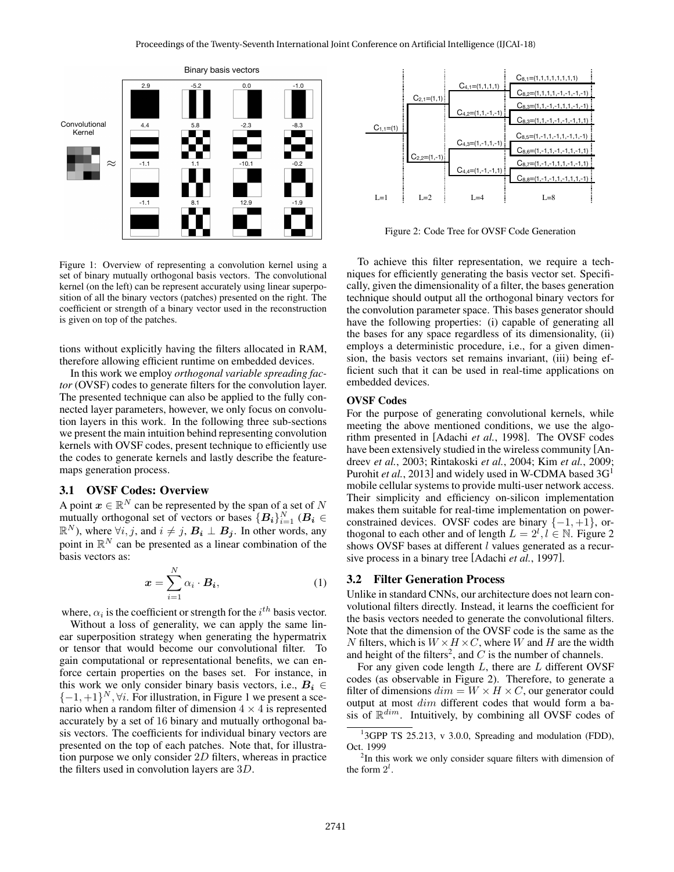

Figure 1: Overview of representing a convolution kernel using a set of binary mutually orthogonal basis vectors. The convolutional kernel (on the left) can be represent accurately using linear superposition of all the binary vectors (patches) presented on the right. The coefficient or strength of a binary vector used in the reconstruction is given on top of the patches.

tions without explicitly having the filters allocated in RAM, therefore allowing efficient runtime on embedded devices.

In this work we employ *orthogonal variable spreading factor* (OVSF) codes to generate filters for the convolution layer. The presented technique can also be applied to the fully connected layer parameters, however, we only focus on convolution layers in this work. In the following three sub-sections we present the main intuition behind representing convolution kernels with OVSF codes, present technique to efficiently use the codes to generate kernels and lastly describe the featuremaps generation process.

#### 3.1 OVSF Codes: Overview

A point  $x \in \mathbb{R}^N$  can be represented by the span of a set of N mutually orthogonal set of vectors or bases  ${B_i}_{i=1}^N (B_i \in$  $\mathbb{R}^N$ ), where  $\forall i, j$ , and  $i \neq j$ ,  $\mathbf{B_i} \perp \mathbf{B_j}$ . In other words, any point in  $\mathbb{R}^N$  can be presented as a linear combination of the basis vectors as:

$$
\boldsymbol{x} = \sum_{i=1}^{N} \alpha_i \cdot \boldsymbol{B_i}, \tag{1}
$$

where,  $\alpha_i$  is the coefficient or strength for the  $i^{th}$  basis vector.

Without a loss of generality, we can apply the same linear superposition strategy when generating the hypermatrix or tensor that would become our convolutional filter. To gain computational or representational benefits, we can enforce certain properties on the bases set. For instance, in this work we only consider binary basis vectors, i.e.,  $B_i \in$  $\{-1, +1\}^N$ ,  $\forall i$ . For illustration, in Figure 1 we present a scenario when a random filter of dimension  $4 \times 4$  is represented accurately by a set of 16 binary and mutually orthogonal basis vectors. The coefficients for individual binary vectors are presented on the top of each patches. Note that, for illustration purpose we only consider  $2D$  filters, whereas in practice the filters used in convolution layers are 3D.



Figure 2: Code Tree for OVSF Code Generation

To achieve this filter representation, we require a techniques for efficiently generating the basis vector set. Specifically, given the dimensionality of a filter, the bases generation technique should output all the orthogonal binary vectors for the convolution parameter space. This bases generator should have the following properties: (i) capable of generating all the bases for any space regardless of its dimensionality, (ii) employs a deterministic procedure, i.e., for a given dimension, the basis vectors set remains invariant, (iii) being efficient such that it can be used in real-time applications on embedded devices.

#### OVSF Codes

For the purpose of generating convolutional kernels, while meeting the above mentioned conditions, we use the algorithm presented in [Adachi *et al.*, 1998]. The OVSF codes have been extensively studied in the wireless community [Andreev *et al.*, 2003; Rintakoski *et al.*, 2004; Kim *et al.*, 2009; Purohit *et al.*, 2013] and widely used in W-CDMA based 3G<sup>1</sup> mobile cellular systems to provide multi-user network access. Their simplicity and efficiency on-silicon implementation makes them suitable for real-time implementation on powerconstrained devices. OVSF codes are binary  $\{-1, +1\}$ , orthogonal to each other and of length  $L = 2^l, l \in \mathbb{N}$ . Figure 2 shows OVSF bases at different *l* values generated as a recursive process in a binary tree [Adachi *et al.*, 1997].

#### 3.2 Filter Generation Process

Unlike in standard CNNs, our architecture does not learn convolutional filters directly. Instead, it learns the coefficient for the basis vectors needed to generate the convolutional filters. Note that the dimension of the OVSF code is the same as the N filters, which is  $W \times H \times C$ , where W and H are the width and height of the filters<sup>2</sup>, and  $C$  is the number of channels.

For any given code length  $L$ , there are  $L$  different OVSF codes (as observable in Figure 2). Therefore, to generate a filter of dimensions  $dim = W \times H \times C$ , our generator could output at most dim different codes that would form a basis of  $\mathbb{R}^{dim}$ . Intuitively, by combining all OVSF codes of

<sup>&</sup>lt;sup>1</sup>3GPP TS 25.213, v 3.0.0, Spreading and modulation (FDD), Oct. 1999

<sup>&</sup>lt;sup>2</sup>In this work we only consider square filters with dimension of the form  $2^l$ .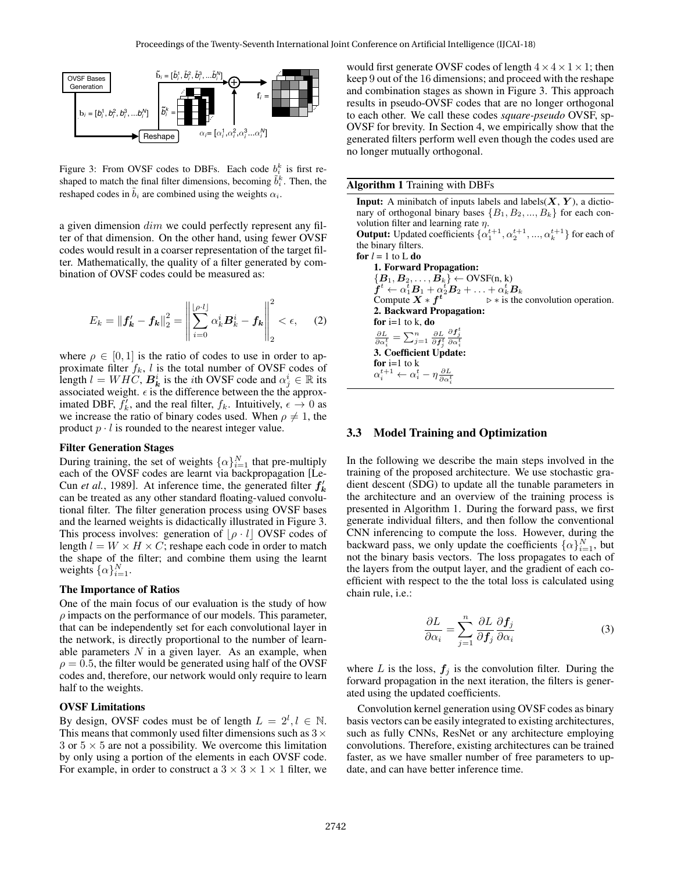

Figure 3: From OVSF codes to DBFs. Each code  $b_i^k$  is first reshaped to match the final filter dimensions, becoming  $\tilde{b}_i^k$ . Then, the reshaped codes in  $b_i$  are combined using the weights  $\alpha_i$ .

ter of that dimension. On the other hand, using fewer OVSF ansion.c<br>ult in a c a given dimension  $dim$  we could perfectly represent any fil-Figure - would result in a coarser representation of the target fil-<br>the Multimature of the target filter. Mathematically, the quality of a filter generated by combination of OVSF codes could be measured as:

$$
E_k = ||f'_k - f_k||_2^2 = \left\| \sum_{i=0}^{\lfloor \rho \cdot l \rfloor} \alpha_k^i B_k^i - f_k \right\|_2^2 < \epsilon, \quad (2)
$$

where  $\rho \in [0, 1]$  is the ratio of codes to use in order to approximate filter  $f_k$ , l is the total number of OVSF codes of length  $l = WHC$ ,  $\boldsymbol{B_k}^i$  is the *i*th OVSF code and  $\alpha_j^i \in \mathbb{R}$  its associated weight.  $\epsilon$  is the difference between the the approximated DBF,  $f'_k$ , and the real filter,  $f_k$ . Intuitively,  $\epsilon \to 0$  as we increase the ratio of binary codes used. When  $\rho \neq 1$ , the product  $p \cdot l$  is rounded to the nearest integer value.

#### Filter Generation Stages

During training, the set of weights  $\{\alpha\}_{i=1}^N$  that pre-multiply each of the OVSF codes are learnt via backpropagation [Le-Cun *et al.*, 1989]. At inference time, the generated filter  $f'_k$ can be treated as any other standard floating-valued convolutional filter. The filter generation process using OVSF bases and the learned weights is didactically illustrated in Figure 3. This process involves: generation of  $\left| \rho \cdot l \right|$  OVSF codes of length  $l = W \times H \times C$ ; reshape each code in order to match the shape of the filter; and combine them using the learnt weights  $\{\alpha\}_{i=1}^N$ .

#### The Importance of Ratios

One of the main focus of our evaluation is the study of how  $\rho$  impacts on the performance of our models. This parameter, that can be independently set for each convolutional layer in the network, is directly proportional to the number of learnable parameters  $N$  in a given layer. As an example, when  $\rho = 0.5$ , the filter would be generated using half of the OVSF codes and, therefore, our network would only require to learn half to the weights.

#### OVSF Limitations

By design, OVSF codes must be of length  $L = 2^l, l \in \mathbb{N}$ . This means that commonly used filter dimensions such as  $3\times$ 3 or  $5 \times 5$  are not a possibility. We overcome this limitation by only using a portion of the elements in each OVSF code. For example, in order to construct a  $3 \times 3 \times 1 \times 1$  filter, we and combination stages as shown in Figure 3. This approach would first generate OVSF codes of length  $4 \times 4 \times 1 \times 1$ ; then keep 9 out of the 16 dimensions; and proceed with the reshape results in pseudo-OVSF codes that are no longer orthogonal to each other. We call these codes *square-pseudo* OVSF, sp-OVSF for brevity. In Section 4, we empirically show that the generated filters perform well even though the codes used are no longer mutually orthogonal.

Algorithm 1 Training with DBFs

**Input:** A minibatch of inputs labels and labels $(X, Y)$ , a dictionary of orthogonal binary bases  $\{B_1, B_2, ..., B_k\}$  for each convolution filter and learning rate  $\eta$ . **Output:** Updated coefficients  $\{\alpha_1^{t+1}, \alpha_2^{t+1}, ..., \alpha_k^{t+1}\}$  for each of the binary filters. for  $l = 1$  to L do 1. Forward Propagation:  ${B_1, B_2, \ldots, B_k} \leftarrow \text{OVSF}(n, k)$  $\hat{\bm{f}}^t \leftarrow \alpha_1^t \bm{B}_1 + \alpha_2^t \bm{B}_2 + \ldots + \alpha_k^t \bm{B}_k$ Compute  $X * f^t$  $\triangleright *$  is the convolution operation. 2. Backward Propagation: for  $i=1$  to k, do  $\frac{\partial L}{\partial \alpha_i^t} = \sum_{j=1}^n \frac{\partial L}{\partial \bm{f}_j^t}$  $\frac{\partial \bm{f}_j^t}{\partial \alpha_i^t}$ 3. Coefficient Update: for  $i=1$  to k  $\alpha_i^{t+1} \leftarrow \alpha_i^t - \eta \frac{\partial L}{\partial \alpha_i^t}$ 

#### 3.3 Model Training and Optimization

In the following we describe the main steps involved in the training of the proposed architecture. We use stochastic gradient descent (SDG) to update all the tunable parameters in the architecture and an overview of the training process is presented in Algorithm 1. During the forward pass, we first generate individual filters, and then follow the conventional CNN inferencing to compute the loss. However, during the backward pass, we only update the coefficients  $\{\alpha\}_{i=1}^N$ , but not the binary basis vectors. The loss propagates to each of the layers from the output layer, and the gradient of each coefficient with respect to the the total loss is calculated using chain rule, i.e.:

$$
\frac{\partial L}{\partial \alpha_i} = \sum_{j=1}^n \frac{\partial L}{\partial f_j} \frac{\partial f_j}{\partial \alpha_i} \tag{3}
$$

where L is the loss,  $f_i$  is the convolution filter. During the forward propagation in the next iteration, the filters is generated using the updated coefficients.

Convolution kernel generation using OVSF codes as binary basis vectors can be easily integrated to existing architectures, such as fully CNNs, ResNet or any architecture employing convolutions. Therefore, existing architectures can be trained faster, as we have smaller number of free parameters to update, and can have better inference time.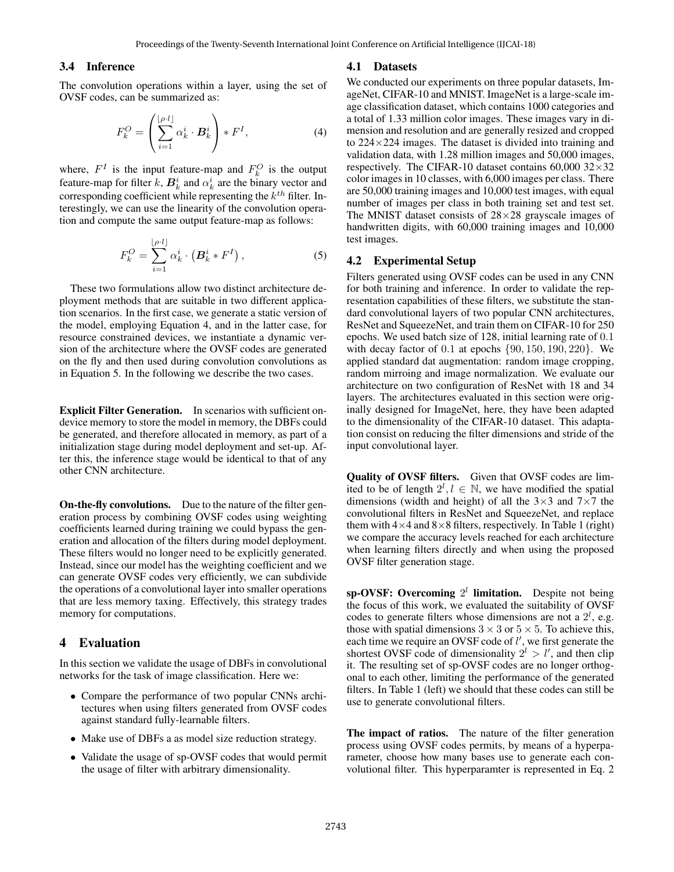#### 3.4 Inference

The convolution operations within a layer, using the set of OVSF codes, can be summarized as:

$$
F_k^O = \left(\sum_{i=1}^{\lfloor \rho \cdot l \rfloor} \alpha_k^i \cdot \mathbf{B}_k^i\right) * F^I,
$$
\n(4)

where,  $F^I$  is the input feature-map and  $F^O_k$  is the output feature-map for filter k,  $B_k^i$  and  $\alpha_k^i$  are the binary vector and corresponding coefficient while representing the  $k^{th}$  filter. Interestingly, we can use the linearity of the convolution operation and compute the same output feature-map as follows:

$$
F_k^O = \sum_{i=1}^{\lfloor \rho \cdot l \rfloor} \alpha_k^i \cdot \left( \mathbf{B}_k^i * F^I \right),\tag{5}
$$

These two formulations allow two distinct architecture deployment methods that are suitable in two different application scenarios. In the first case, we generate a static version of the model, employing Equation 4, and in the latter case, for resource constrained devices, we instantiate a dynamic version of the architecture where the OVSF codes are generated on the fly and then used during convolution convolutions as in Equation 5. In the following we describe the two cases.

Explicit Filter Generation. In scenarios with sufficient ondevice memory to store the model in memory, the DBFs could be generated, and therefore allocated in memory, as part of a initialization stage during model deployment and set-up. After this, the inference stage would be identical to that of any other CNN architecture.

On-the-fly convolutions. Due to the nature of the filter generation process by combining OVSF codes using weighting coefficients learned during training we could bypass the generation and allocation of the filters during model deployment. These filters would no longer need to be explicitly generated. Instead, since our model has the weighting coefficient and we can generate OVSF codes very efficiently, we can subdivide the operations of a convolutional layer into smaller operations that are less memory taxing. Effectively, this strategy trades memory for computations.

#### 4 Evaluation

In this section we validate the usage of DBFs in convolutional networks for the task of image classification. Here we:

- Compare the performance of two popular CNNs architectures when using filters generated from OVSF codes against standard fully-learnable filters.
- Make use of DBFs a as model size reduction strategy.
- Validate the usage of sp-OVSF codes that would permit the usage of filter with arbitrary dimensionality.

#### 4.1 Datasets

We conducted our experiments on three popular datasets, ImageNet, CIFAR-10 and MNIST. ImageNet is a large-scale image classification dataset, which contains 1000 categories and a total of 1.33 million color images. These images vary in dimension and resolution and are generally resized and cropped to  $224 \times 224$  images. The dataset is divided into training and validation data, with 1.28 million images and 50,000 images, respectively. The CIFAR-10 dataset contains  $60,000$   $32 \times 32$ color images in 10 classes, with 6,000 images per class. There are 50,000 training images and 10,000 test images, with equal number of images per class in both training set and test set. The MNIST dataset consists of  $28\times28$  grayscale images of handwritten digits, with 60,000 training images and 10,000 test images.

#### 4.2 Experimental Setup

Filters generated using OVSF codes can be used in any CNN for both training and inference. In order to validate the representation capabilities of these filters, we substitute the standard convolutional layers of two popular CNN architectures, ResNet and SqueezeNet, and train them on CIFAR-10 for 250 epochs. We used batch size of 128, initial learning rate of 0.1 with decay factor of  $0.1$  at epochs  $\{90, 150, 190, 220\}$ . We applied standard dat augmentation: random image cropping, random mirroing and image normalization. We evaluate our architecture on two configuration of ResNet with 18 and 34 layers. The architectures evaluated in this section were originally designed for ImageNet, here, they have been adapted to the dimensionality of the CIFAR-10 dataset. This adaptation consist on reducing the filter dimensions and stride of the input convolutional layer.

Quality of OVSF filters. Given that OVSF codes are limited to be of length  $2^l, l \in \mathbb{N}$ , we have modified the spatial dimensions (width and height) of all the  $3\times3$  and  $7\times7$  the convolutional filters in ResNet and SqueezeNet, and replace them with  $4\times4$  and  $8\times8$  filters, respectively. In Table 1 (right) we compare the accuracy levels reached for each architecture when learning filters directly and when using the proposed OVSF filter generation stage.

sp-OVSF: Overcoming  $2^l$  limitation. Despite not being the focus of this work, we evaluated the suitability of OVSF codes to generate filters whose dimensions are not a  $2^l$ , e.g. those with spatial dimensions  $3 \times 3$  or  $5 \times 5$ . To achieve this, each time we require an OVSF code of  $l'$ , we first generate the shortest OVSF code of dimensionality  $2^l > l'$ , and then clip it. The resulting set of sp-OVSF codes are no longer orthogonal to each other, limiting the performance of the generated filters. In Table 1 (left) we should that these codes can still be use to generate convolutional filters.

The impact of ratios. The nature of the filter generation process using OVSF codes permits, by means of a hyperparameter, choose how many bases use to generate each convolutional filter. This hyperparamter is represented in Eq. 2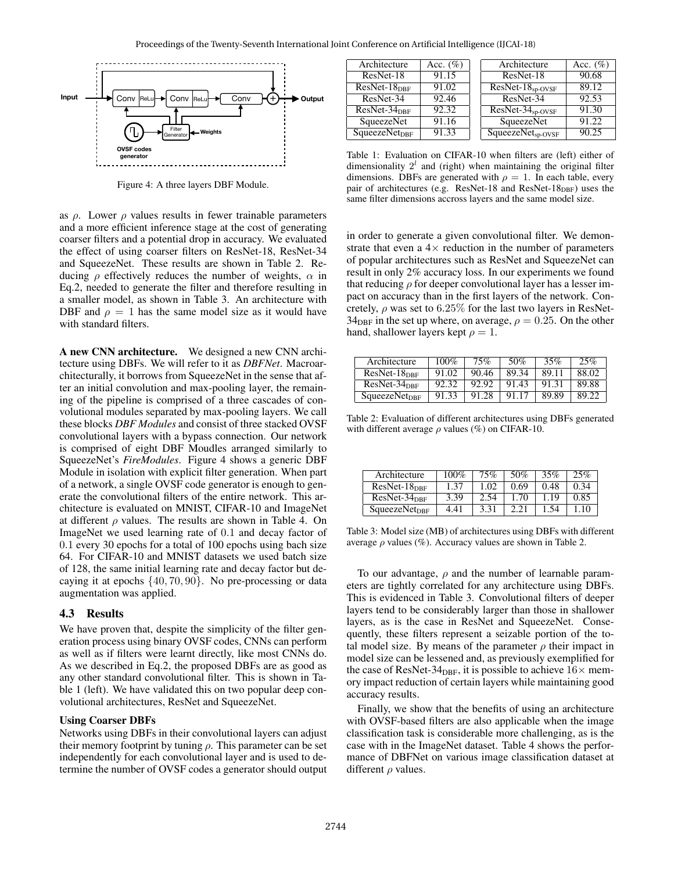

Figure 4: A three layers DBF Module.

as  $\rho$ . Lower  $\rho$  values results in fewer trainable parameters and a more efficient inference stage at the cost of generating coarser filters and a potential drop in accuracy. We evaluated the effect of using coarser filters on ResNet-18, ResNet-34 and SqueezeNet. These results are shown in Table 2. Reducing  $\rho$  effectively reduces the number of weights,  $\alpha$  in Eq.2, needed to generate the filter and therefore resulting in a smaller model, as shown in Table 3. An architecture with DBF and  $\rho = 1$  has the same model size as it would have with standard filters.

A new CNN architecture. We designed a new CNN architecture using DBFs. We will refer to it as *DBFNet*. Macroarchitecturally, it borrows from SqueezeNet in the sense that after an initial convolution and max-pooling layer, the remaining of the pipeline is comprised of a three cascades of convolutional modules separated by max-pooling layers. We call these blocks *DBF Modules* and consist of three stacked OVSF convolutional layers with a bypass connection. Our network is comprised of eight DBF Moudles arranged similarly to SqueezeNet's *FireModules*. Figure 4 shows a generic DBF Module in isolation with explicit filter generation. When part of a network, a single OVSF code generator is enough to generate the convolutional filters of the entire network. This architecture is evaluated on MNIST, CIFAR-10 and ImageNet at different  $\rho$  values. The results are shown in Table 4. On ImageNet we used learning rate of 0.1 and decay factor of 0.1 every 30 epochs for a total of 100 epochs using bach size 64. For CIFAR-10 and MNIST datasets we used batch size of 128, the same initial learning rate and decay factor but decaying it at epochs {40, 70, 90}. No pre-processing or data augmentation was applied.

### 4.3 Results

We have proven that, despite the simplicity of the filter generation process using binary OVSF codes, CNNs can perform as well as if filters were learnt directly, like most CNNs do. As we described in Eq.2, the proposed DBFs are as good as any other standard convolutional filter. This is shown in Table 1 (left). We have validated this on two popular deep convolutional architectures, ResNet and SqueezeNet.

#### Using Coarser DBFs

Networks using DBFs in their convolutional layers can adjust their memory footprint by tuning  $\rho$ . This parameter can be set independently for each convolutional layer and is used to determine the number of OVSF codes a generator should output

| Architecture              | Acc. $(\%)$ | Architecture          | Acc. $(\%)$ |
|---------------------------|-------------|-----------------------|-------------|
| ResNet-18                 | 91.15       | ResNet-18             | 90.68       |
| $ResNet-18_{DBF}$         | 91.02       | $ResNet-18_{sp-OVSF}$ | 89.12       |
| ResNet-34                 | 92.46       | ResNet-34             | 92.53       |
| $ResNet-34_{DBF}$         | 92.32       | $ResNet-34sp-OVSF$    | 91.30       |
| SqueezeNet                | 91.16       | SqueezeNet            | 91.22       |
| SqueezeNet <sub>DBF</sub> | 91.33       | $SqueezeNetsp-OVSF$   | 90.25       |

Table 1: Evaluation on CIFAR-10 when filters are (left) either of dimensionality  $2<sup>l</sup>$  and (right) when maintaining the original filter dimensions. DBFs are generated with  $\rho = 1$ . In each table, every pair of architectures (e.g. ResNet-18 and ResNet-18 $_{\text{DBF}}$ ) uses the same filter dimensions accross layers and the same model size.

in order to generate a given convolutional filter. We demonstrate that even a  $4\times$  reduction in the number of parameters of popular architectures such as ResNet and SqueezeNet can result in only 2% accuracy loss. In our experiments we found that reducing  $\rho$  for deeper convolutional layer has a lesser impact on accuracy than in the first layers of the network. Concretely,  $\rho$  was set to 6.25% for the last two layers in ResNet- $34_{\text{DBF}}$  in the set up where, on average,  $\rho = 0.25$ . On the other hand, shallower layers kept  $\rho = 1$ .

| Architecture                     | $100\%$ | 75%   | 50\%  | 35%   | 25%   |
|----------------------------------|---------|-------|-------|-------|-------|
| $ResNet-18_{DBF}$                | 91.02   | 90.46 | 89.34 | 89.11 | 88.02 |
| $ResNet-34_{DRF}$                | 92.32   | 92.92 | 91.43 | 91.31 | 89.88 |
| <b>SqueezeNet</b> <sub>DBF</sub> | 91.33   | 91.28 | 91.17 | 89.89 | 89.22 |

Table 2: Evaluation of different architectures using DBFs generated with different average  $\rho$  values (%) on CIFAR-10.

| Architecture              | $100\%$ | 75%  | 50%  | 35%  | 25%  |
|---------------------------|---------|------|------|------|------|
| $ResNet-18_{DBF}$         | 1.37    | 1.02 | 0.69 | 0.48 | 0.34 |
| $ResNet-34_{DBF}$         | 3.39    | 2.54 | 1.70 | 1.19 | 0.85 |
| SqueezeNet <sub>DBF</sub> | 4.41    | 3.31 |      |      |      |

Table 3: Model size (MB) of architectures using DBFs with different average  $\rho$  values (%). Accuracy values are shown in Table 2.

To our advantage,  $\rho$  and the number of learnable parameters are tightly correlated for any architecture using DBFs. This is evidenced in Table 3. Convolutional filters of deeper layers tend to be considerably larger than those in shallower layers, as is the case in ResNet and SqueezeNet. Consequently, these filters represent a seizable portion of the total model size. By means of the parameter  $\rho$  their impact in model size can be lessened and, as previously exemplified for the case of ResNet-34<sub>DBF</sub>, it is possible to achieve  $16\times$  memory impact reduction of certain layers while maintaining good accuracy results.

Finally, we show that the benefits of using an architecture with OVSF-based filters are also applicable when the image classification task is considerable more challenging, as is the case with in the ImageNet dataset. Table 4 shows the performance of DBFNet on various image classification dataset at different  $\rho$  values.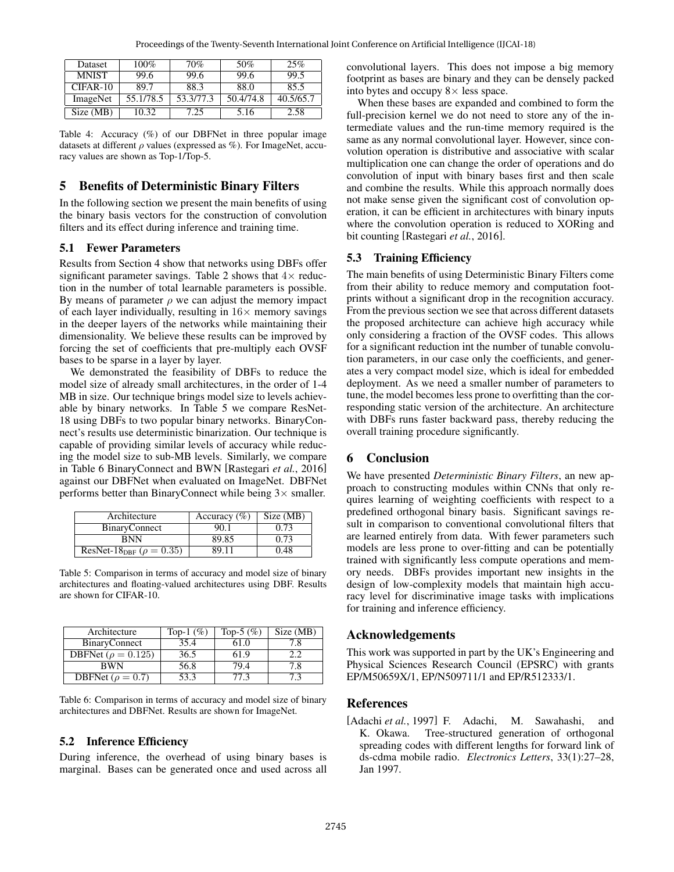| <b>Dataset</b> | $100\%$   | 70%       | 50%       | 25%       |
|----------------|-----------|-----------|-----------|-----------|
| <b>MNIST</b>   | 99.6      | 99.6      | 99.6      | 99.5      |
| $CIFAR-10$     | 89.7      | 88.3      | 88.0      | 85.5      |
| ImageNet       | 55.1/78.5 | 53.3/77.3 | 50.4/74.8 | 40.5/65.7 |
| Size (MB)      | 10.32     | 7.25      | 5.16      | 2.58      |

Table 4: Accuracy (%) of our DBFNet in three popular image datasets at different  $\rho$  values (expressed as %). For ImageNet, accuracy values are shown as Top-1/Top-5.

# 5 Benefits of Deterministic Binary Filters

In the following section we present the main benefits of using the binary basis vectors for the construction of convolution filters and its effect during inference and training time.

# 5.1 Fewer Parameters

Results from Section 4 show that networks using DBFs offer significant parameter savings. Table 2 shows that  $4 \times$  reduction in the number of total learnable parameters is possible. By means of parameter  $\rho$  we can adjust the memory impact of each layer individually, resulting in  $16\times$  memory savings in the deeper layers of the networks while maintaining their dimensionality. We believe these results can be improved by forcing the set of coefficients that pre-multiply each OVSF bases to be sparse in a layer by layer.

We demonstrated the feasibility of DBFs to reduce the model size of already small architectures, in the order of 1-4 MB in size. Our technique brings model size to levels achievable by binary networks. In Table 5 we compare ResNet-18 using DBFs to two popular binary networks. BinaryConnect's results use deterministic binarization. Our technique is capable of providing similar levels of accuracy while reducing the model size to sub-MB levels. Similarly, we compare in Table 6 BinaryConnect and BWN [Rastegari *et al.*, 2016] against our DBFNet when evaluated on ImageNet. DBFNet performs better than BinaryConnect while being  $3\times$  smaller.

| Architecture                               | Accuracy $(\% )$ | Size (MB) |
|--------------------------------------------|------------------|-----------|
| <b>BinaryConnect</b>                       | 90.1             | 0.73      |
| <b>BNN</b>                                 | 89.85            | 0.73      |
| ResNet-18 <sub>DBF</sub> ( $\rho = 0.35$ ) | 89.11            | 0.48      |

Table 5: Comparison in terms of accuracy and model size of binary architectures and floating-valued architectures using DBF. Results are shown for CIFAR-10.

| Architecture              | Top-1 $(\%)$ | Top-5 $(\%)$ | Size (MB) |
|---------------------------|--------------|--------------|-----------|
| <b>BinaryConnect</b>      | 35.4         | 61.0         | 7.8       |
| DBFNet ( $\rho = 0.125$ ) | 36.5         | 61.9         | 2.2       |
| <b>BWN</b>                | 56.8         | 79.4         | 7.8       |
| DBFNet ( $\rho = 0.7$ )   | 53.3         | 77.3         | 73        |

Table 6: Comparison in terms of accuracy and model size of binary architectures and DBFNet. Results are shown for ImageNet.

#### 5.2 Inference Efficiency

During inference, the overhead of using binary bases is marginal. Bases can be generated once and used across all convolutional layers. This does not impose a big memory footprint as bases are binary and they can be densely packed into bytes and occupy  $8 \times$  less space.

When these bases are expanded and combined to form the full-precision kernel we do not need to store any of the intermediate values and the run-time memory required is the same as any normal convolutional layer. However, since convolution operation is distributive and associative with scalar multiplication one can change the order of operations and do convolution of input with binary bases first and then scale and combine the results. While this approach normally does not make sense given the significant cost of convolution operation, it can be efficient in architectures with binary inputs where the convolution operation is reduced to XORing and bit counting [Rastegari *et al.*, 2016].

#### 5.3 Training Efficiency

The main benefits of using Deterministic Binary Filters come from their ability to reduce memory and computation footprints without a significant drop in the recognition accuracy. From the previous section we see that across different datasets the proposed architecture can achieve high accuracy while only considering a fraction of the OVSF codes. This allows for a significant reduction int the number of tunable convolution parameters, in our case only the coefficients, and generates a very compact model size, which is ideal for embedded deployment. As we need a smaller number of parameters to tune, the model becomes less prone to overfitting than the corresponding static version of the architecture. An architecture with DBFs runs faster backward pass, thereby reducing the overall training procedure significantly.

#### 6 Conclusion

We have presented *Deterministic Binary Filters*, an new approach to constructing modules within CNNs that only requires learning of weighting coefficients with respect to a predefined orthogonal binary basis. Significant savings result in comparison to conventional convolutional filters that are learned entirely from data. With fewer parameters such models are less prone to over-fitting and can be potentially trained with significantly less compute operations and memory needs. DBFs provides important new insights in the design of low-complexity models that maintain high accuracy level for discriminative image tasks with implications for training and inference efficiency.

### Acknowledgements

This work was supported in part by the UK's Engineering and Physical Sciences Research Council (EPSRC) with grants EP/M50659X/1, EP/N509711/1 and EP/R512333/1.

### References

[Adachi *et al.*, 1997] F. Adachi, M. Sawahashi, and K. Okawa. Tree-structured generation of orthogonal spreading codes with different lengths for forward link of ds-cdma mobile radio. *Electronics Letters*, 33(1):27–28, Jan 1997.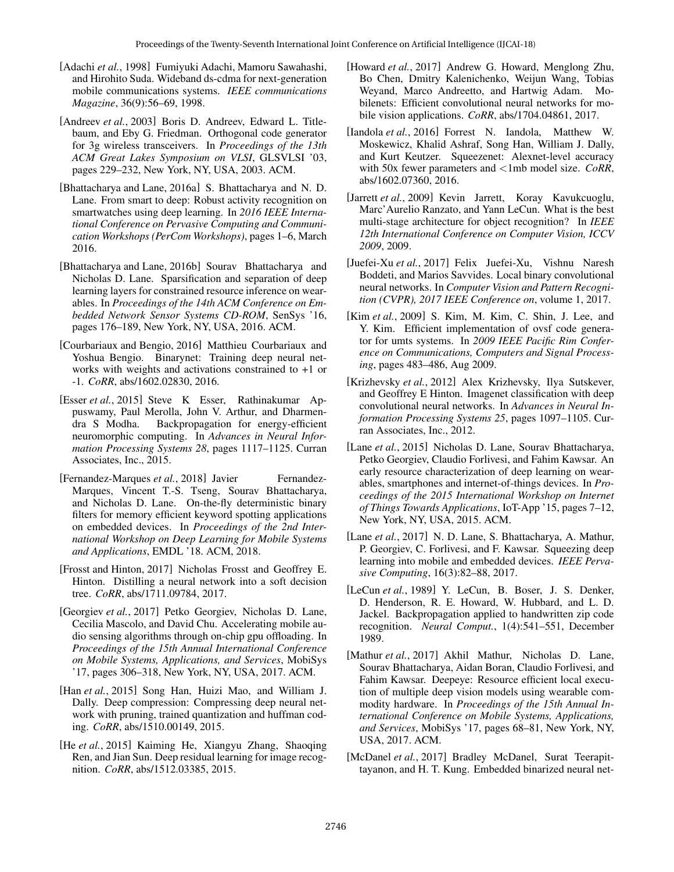- [Adachi *et al.*, 1998] Fumiyuki Adachi, Mamoru Sawahashi, and Hirohito Suda. Wideband ds-cdma for next-generation mobile communications systems. *IEEE communications Magazine*, 36(9):56–69, 1998.
- [Andreev et al., 2003] Boris D. Andreev, Edward L. Titlebaum, and Eby G. Friedman. Orthogonal code generator for 3g wireless transceivers. In *Proceedings of the 13th ACM Great Lakes Symposium on VLSI*, GLSVLSI '03, pages 229–232, New York, NY, USA, 2003. ACM.
- [Bhattacharya and Lane, 2016a] S. Bhattacharya and N. D. Lane. From smart to deep: Robust activity recognition on smartwatches using deep learning. In *2016 IEEE International Conference on Pervasive Computing and Communication Workshops (PerCom Workshops)*, pages 1–6, March 2016.
- [Bhattacharya and Lane, 2016b] Sourav Bhattacharya and Nicholas D. Lane. Sparsification and separation of deep learning layers for constrained resource inference on wearables. In *Proceedings of the 14th ACM Conference on Embedded Network Sensor Systems CD-ROM*, SenSys '16, pages 176–189, New York, NY, USA, 2016. ACM.
- [Courbariaux and Bengio, 2016] Matthieu Courbariaux and Yoshua Bengio. Binarynet: Training deep neural networks with weights and activations constrained to +1 or -1. *CoRR*, abs/1602.02830, 2016.
- [Esser *et al.*, 2015] Steve K Esser, Rathinakumar Appuswamy, Paul Merolla, John V. Arthur, and Dharmendra S Modha. Backpropagation for energy-efficient neuromorphic computing. In *Advances in Neural Information Processing Systems 28*, pages 1117–1125. Curran Associates, Inc., 2015.
- [Fernandez-Marques et al., 2018] Javier Fernandez-Marques, Vincent T.-S. Tseng, Sourav Bhattacharya, and Nicholas D. Lane. On-the-fly deterministic binary filters for memory efficient keyword spotting applications on embedded devices. In *Proceedings of the 2nd International Workshop on Deep Learning for Mobile Systems and Applications*, EMDL '18. ACM, 2018.
- [Frosst and Hinton, 2017] Nicholas Frosst and Geoffrey E. Hinton. Distilling a neural network into a soft decision tree. *CoRR*, abs/1711.09784, 2017.
- [Georgiev *et al.*, 2017] Petko Georgiev, Nicholas D. Lane, Cecilia Mascolo, and David Chu. Accelerating mobile audio sensing algorithms through on-chip gpu offloading. In *Proceedings of the 15th Annual International Conference on Mobile Systems, Applications, and Services*, MobiSys '17, pages 306–318, New York, NY, USA, 2017. ACM.
- [Han *et al.*, 2015] Song Han, Huizi Mao, and William J. Dally. Deep compression: Compressing deep neural network with pruning, trained quantization and huffman coding. *CoRR*, abs/1510.00149, 2015.
- [He *et al.*, 2015] Kaiming He, Xiangyu Zhang, Shaoqing Ren, and Jian Sun. Deep residual learning for image recognition. *CoRR*, abs/1512.03385, 2015.
- [Howard *et al.*, 2017] Andrew G. Howard, Menglong Zhu, Bo Chen, Dmitry Kalenichenko, Weijun Wang, Tobias Weyand, Marco Andreetto, and Hartwig Adam. Mobilenets: Efficient convolutional neural networks for mobile vision applications. *CoRR*, abs/1704.04861, 2017.
- [Iandola *et al.*, 2016] Forrest N. Iandola, Matthew W. Moskewicz, Khalid Ashraf, Song Han, William J. Dally, and Kurt Keutzer. Squeezenet: Alexnet-level accuracy with 50x fewer parameters and <1mb model size. *CoRR*, abs/1602.07360, 2016.
- [Jarrett *et al.*, 2009] Kevin Jarrett, Koray Kavukcuoglu, Marc'Aurelio Ranzato, and Yann LeCun. What is the best multi-stage architecture for object recognition? In *IEEE 12th International Conference on Computer Vision, ICCV 2009*, 2009.
- [Juefei-Xu *et al.*, 2017] Felix Juefei-Xu, Vishnu Naresh Boddeti, and Marios Savvides. Local binary convolutional neural networks. In *Computer Vision and Pattern Recognition (CVPR), 2017 IEEE Conference on*, volume 1, 2017.
- [Kim *et al.*, 2009] S. Kim, M. Kim, C. Shin, J. Lee, and Y. Kim. Efficient implementation of ovsf code generator for umts systems. In *2009 IEEE Pacific Rim Conference on Communications, Computers and Signal Processing*, pages 483–486, Aug 2009.
- [Krizhevsky *et al.*, 2012] Alex Krizhevsky, Ilya Sutskever, and Geoffrey E Hinton. Imagenet classification with deep convolutional neural networks. In *Advances in Neural Information Processing Systems 25*, pages 1097–1105. Curran Associates, Inc., 2012.
- [Lane *et al.*, 2015] Nicholas D. Lane, Sourav Bhattacharya, Petko Georgiev, Claudio Forlivesi, and Fahim Kawsar. An early resource characterization of deep learning on wearables, smartphones and internet-of-things devices. In *Proceedings of the 2015 International Workshop on Internet of Things Towards Applications*, IoT-App '15, pages 7–12, New York, NY, USA, 2015. ACM.
- [Lane *et al.*, 2017] N. D. Lane, S. Bhattacharya, A. Mathur, P. Georgiev, C. Forlivesi, and F. Kawsar. Squeezing deep learning into mobile and embedded devices. *IEEE Pervasive Computing*, 16(3):82–88, 2017.
- [LeCun *et al.*, 1989] Y. LeCun, B. Boser, J. S. Denker, D. Henderson, R. E. Howard, W. Hubbard, and L. D. Jackel. Backpropagation applied to handwritten zip code recognition. *Neural Comput.*, 1(4):541–551, December 1989.
- [Mathur *et al.*, 2017] Akhil Mathur, Nicholas D. Lane, Sourav Bhattacharya, Aidan Boran, Claudio Forlivesi, and Fahim Kawsar. Deepeye: Resource efficient local execution of multiple deep vision models using wearable commodity hardware. In *Proceedings of the 15th Annual International Conference on Mobile Systems, Applications, and Services*, MobiSys '17, pages 68–81, New York, NY, USA, 2017. ACM.
- [McDanel *et al.*, 2017] Bradley McDanel, Surat Teerapittayanon, and H. T. Kung. Embedded binarized neural net-